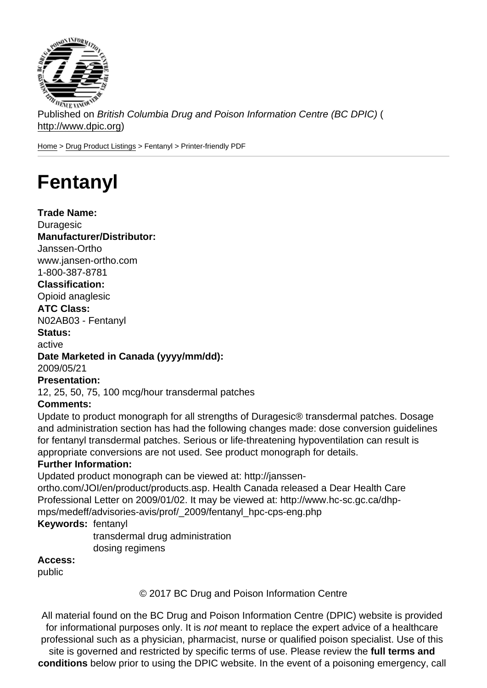Published on British Columbia Drug and Poison Information Centre (BC DPIC) ( http://www.dpic.org)

Home > Drug Product Listings > Fentanyl > Printer-friendly PDF

## [Fe](http://www.dpic.org/)[ntanyl](http://www.dpic.org/druglistings)

Trade Name: Duragesic Manufacturer/Distributor: Janssen-Ortho www.jansen-ortho.com 1-800-387-8781 Classification: Opioid anaglesic ATC Class: N02AB03 - Fentanyl Status: active Date Marketed in Canada (yyyy/mm/dd): 2009/05/21 Presentation: 12, 25, 50, 75, 100 mcg/hour transdermal patches Comments: Update to product monograph for all strengths of Duragesic® transdermal patches. Dosage and administration section has had the following changes made: dose conversion guidelines for fentanyl transdermal patches. Serious or life-threatening hypoventilation can result is appropriate conversions are not used. See product monograph for details. Further Information: Updated product monograph can be viewed at: http://janssenortho.com/JOI/en/product/products.asp. Health Canada released a Dear Health Care Professional Letter on 2009/01/02. It may be viewed at: http://www.hc-sc.gc.ca/dhpmps/medeff/advisories-avis/prof/\_2009/fentanyl\_hpc-cps-eng.php Keywords: fentanyl transdermal drug administration dosing regimens Access:

public

© 2017 BC Drug and Poison Information Centre

All material found on the BC Drug and Poison Information Centre (DPIC) website is provided for informational purposes only. It is not meant to replace the expert advice of a healthcare professional such as a physician, pharmacist, nurse or qualified poison specialist. Use of this site is governed and restricted by specific terms of use. Please review the full terms and conditions below prior to using the DPIC website. In the event of a poisoning emergency, call